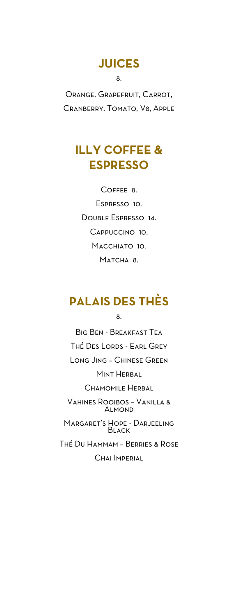# **JUICES**

8.

Orange, Grapefruit, Carrot, Cranberry, Tomato, V8, Apple

# **ILLY COFFEE & ESPRESSO**

Coffee 8. Espresso 10. Double Espresso 14. Cappuccino 10. Macchiato 10. Matcha 8.

# **PALAIS DES THÈS**

8.

Big Ben - Breakfast Tea Thé Des Lords - Earl Grey Long Jing – Chinese Green Mint Herbal Chamomile Herbal Vahines Rooibos – Vanilla & **ALMOND** Margaret's Hope - Darjeeling **BLACK** Thé Du Hammam – Berries & Rose Chai Imperial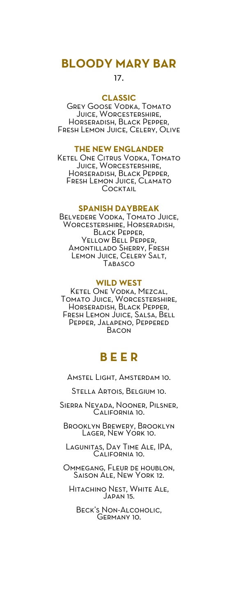## **BLOODY MARY BAR**

17.

#### **CLASSIC**

Grey Goose Vodka, Tomato Juice, Worcestershire, Horseradish, Black Pepper, Fresh Lemon Juice, Celery, Olive

#### **THE NEW ENGLANDER**

Ketel One Citrus Vodka, Tomato JUICE, WORCESTERSHIRE, Horseradish, Black Pepper, Fresh Lemon Juice, Clamato **COCKTAIL** 

#### **SPANISH DAYBREAK**

Belvedere Vodka, Tomato Juice, Worcestershire, Horseradish, BLACK PEPPER, Yellow Bell Pepper, Amontillado Sherry, Fresh Lemon Juice, Celery Salt, Tabasco

#### **WILD WEST**

Ketel One Vodka, Mezcal, Tomato Juice, Worcestershire, Horseradish, Black Pepper, Fresh Lemon Juice, Salsa, Bell Pepper, Jalapeno, Peppered Bacon

## **B E E R**

Amstel Light, Amsterdam 10.

Stella Artois, Belgium 10.

Sierra Nevada, Nooner, Pilsner, California 10.

Brooklyn Brewery, Brooklyn Lager, New York 10.

Lagunitas, Day Time Ale, IPA, California 10.

Ommegang, Fleur de houblon, Saison Ale, New York 12.

Hitachino Nest, White Ale, JAPAN 15.

Beck's Non-Alcoholic, Germany 10.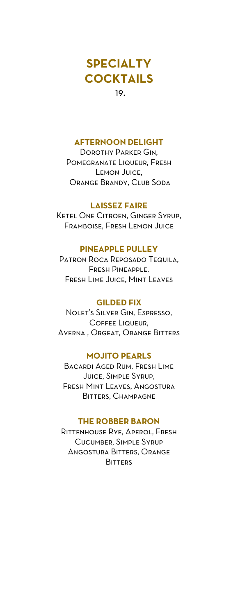# **SPECIALTY COCKTAILS**

19.

#### **AFTERNOON DELIGHT**

Dorothy Parker Gin, Pomegranate Liqueur, Fresh Lemon Juice, Orange Brandy, Club Soda

#### **LAISSEZ FAIRE**

Ketel One Citroen, Ginger Syrup, Framboise, Fresh Lemon Juice

#### **PINEAPPLE PULLEY**

Patron Roca Reposado Tequila, Fresh Pineapple, Fresh Lime Juice, Mint Leaves

#### **GILDED FIX**

Nolet's Silver Gin, Espresso, Coffee Liqueur, Averna , Orgeat, Orange Bitters

#### **MOJITO PEARLS**

Bacardi Aged Rum, Fresh Lime Juice, Simple Syrup, Fresh Mint Leaves, Angostura Bitters, Champagne

#### **THE ROBBER BARON**

Rittenhouse Rye, Aperol, Fresh Cucumber, Simple Syrup Angostura Bitters, Orange **BITTERS**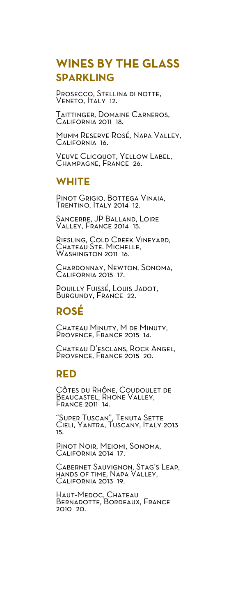# **WINES BY THE GLASS SPARKLING**

Prosecco, Stellina di notte, VENETO, **ITALY 12.** 

Taittinger, Domaine Carneros, California 2011 18.

Mumm Reserve Rosé, Napa Valley, California 16.

VEUVE CLICQUOT, YELLOW LABEL, Champagne, France 26.

## **WHITE**

Pinot Grigio, Bottega Vinaia, Trentino, Italy 2014 12.

Sancerre, JP Balland, Loire Valley, France 2014 15.

Riesling, Cold Creek Vineyard, Chateau Ste. Michelle, Washington 2011 16.

Chardonnay, Newton, Sonoma, California 2015 17.

Pouilly Fuissé, Louis Jadot, BURGUNDY, FRANCE 22.

## **ROSÉ**

CHATEAU MINUTY, M DE MINUTY, Provence, France 2015 14.

CHATEAU D'ESCLANS, ROCK ANGEL, PROVENCE, FRANCE 2015 20.

### **RED**

Côtes du Rhône, Coudoulet de Beaucastel, Rhone Valley, France 2011 14.

"Super Tuscan", Tenuta Sette Cieli, Yantra, Tuscany, Italy 2013 15.

Pinot Noir, Meiomi, Sonoma, California<sup>2</sup>014 17.

Cabernet Sauvignon, Stag's Leap, hands of time, Napa Valley, California 2013 19.

Haut-Medoc, Chateau Bernadotte, Bordeaux, France 2010 20.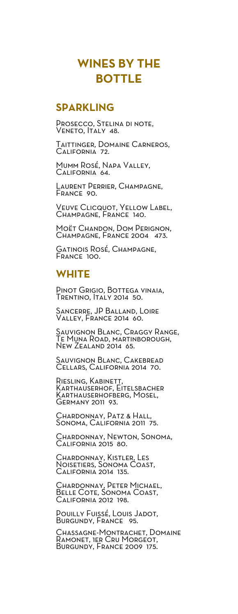# **WINES BY THE BOTTLE**

## **SPARKLING**

PROSECCO, STELINA DI NOTE, Veneto, Italy 48.

Taittinger, Domaine Carneros, California 72.

Mumm Rosé, Napa Valley, California 64.

Laurent Perrier, Champagne, France 90.

Veuve Clicquot, Yellow Label, Champagne, France 140.

MOËT CHANDON, DOM PERIGNON, Champagne, France 2004 473.

Gatinois Rosé, Champagne, France 100.

## **WHITE**

Pinot Grigio, Bottega vinaia, Trentino, Italy 2014 50.

Sancerre, JP Balland, Loire Valley, France 2014 60.

Sauvignon Blanc, Craggy Range, Te Muna Road, martinborough, New Zealand 2014 65.

Sauvignon Blanc, Cakebread Cellars, California 2014 70.

RIESLING, KABINETT, Karthauserhof, Eitelsbacher Karthauserhofberg, Mosel, Germany 2011 93.

Chardonnay, Patz & Hall, Sonoma, California 2011 75.

Chardonnay, Newton, Sonoma, California 2015 80.

CHARDONNAY, KISTLER, LES Noisetiers, Sonoma Coast, California 2014 135.

Chardonnay, Peter Michael, Belle Cote, Sonoma Coast, California 2012 198.

Pouilly Fuissé, Louis Jadot, Burgundy, France 95.

Chassagne-Montrachet, Domaine Ramonet, 1er Cru Morgeot, Burgundy, France 2009 175.